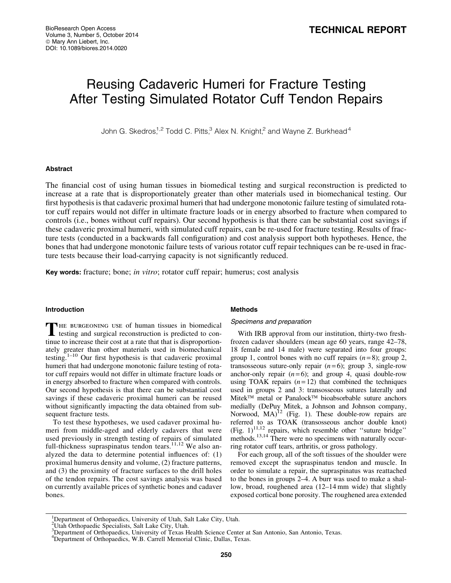# Reusing Cadaveric Humeri for Fracture Testing After Testing Simulated Rotator Cuff Tendon Repairs

John G. Skedros,<sup>1,2</sup> Todd C. Pitts,<sup>3</sup> Alex N. Knight,<sup>2</sup> and Wayne Z. Burkhead<sup>4</sup>

## Abstract

The financial cost of using human tissues in biomedical testing and surgical reconstruction is predicted to increase at a rate that is disproportionately greater than other materials used in biomechanical testing. Our first hypothesis is that cadaveric proximal humeri that had undergone monotonic failure testing of simulated rotator cuff repairs would not differ in ultimate fracture loads or in energy absorbed to fracture when compared to controls (i.e., bones without cuff repairs). Our second hypothesis is that there can be substantial cost savings if these cadaveric proximal humeri, with simulated cuff repairs, can be re-used for fracture testing. Results of fracture tests (conducted in a backwards fall configuration) and cost analysis support both hypotheses. Hence, the bones that had undergone monotonic failure tests of various rotator cuff repair techniques can be re-used in fracture tests because their load-carrying capacity is not significantly reduced.

Key words: fracture; bone; *in vitro*; rotator cuff repair; humerus; cost analysis

## Introduction

THE BURGEONING USE of human tissues in biomedical testing and surgical reconstruction is predicted to continue to increase their cost at a rate that that is disproportionately greater than other materials used in biomechanical testing.<sup>1–10</sup> Our first hypothesis is that cadaveric proximal humeri that had undergone monotonic failure testing of rotator cuff repairs would not differ in ultimate fracture loads or in energy absorbed to fracture when compared with controls. Our second hypothesis is that there can be substantial cost savings if these cadaveric proximal humeri can be reused without significantly impacting the data obtained from subsequent fracture tests.

To test these hypotheses, we used cadaver proximal humeri from middle-aged and elderly cadavers that were used previously in strength testing of repairs of simulated full-thickness supraspinatus tendon tears.<sup>11,12</sup> We also analyzed the data to determine potential influences of: (1) proximal humerus density and volume, (2) fracture patterns, and (3) the proximity of fracture surfaces to the drill holes of the tendon repairs. The cost savings analysis was based on currently available prices of synthetic bones and cadaver bones.

#### Methods

#### Specimens and preparation

With IRB approval from our institution, thirty-two freshfrozen cadaver shoulders (mean age 60 years, range 42–78, 18 female and 14 male) were separated into four groups: group 1, control bones with no cuff repairs  $(n=8)$ ; group 2, transosseous suture-only repair  $(n=6)$ ; group 3, single-row anchor-only repair  $(n=6)$ ; and group 4, quasi double-row using TOAK repairs  $(n=12)$  that combined the techniques used in groups 2 and 3: transosseous sutures laterally and Mitek<sup>™</sup> metal or Panalock™ bioabsorbable suture anchors medially (DePuy Mitek, a Johnson and Johnson company, Norwood,  $MA$ )<sup>12</sup> (Fig. 1). These double-row repairs are referred to as TOAK (transosseous anchor double knot) (Fig.  $1$ )<sup>11,12</sup> repairs, which resemble other "suture bridge" methods.<sup>13,14</sup> There were no specimens with naturally occurring rotator cuff tears, arthritis, or gross pathology.

For each group, all of the soft tissues of the shoulder were removed except the supraspinatus tendon and muscle. In order to simulate a repair, the supraspinatus was reattached to the bones in groups 2–4. A burr was used to make a shallow, broad, roughened area (12–14 mm wide) that slightly exposed cortical bone porosity. The roughened area extended

<sup>&</sup>lt;sup>1</sup>Department of Orthopaedics, University of Utah, Salt Lake City, Utah.

<sup>2</sup> Utah Orthopaedic Specialists, Salt Lake City, Utah.

<sup>3</sup> Department of Orthopaedics, University of Texas Health Science Center at San Antonio, San Antonio, Texas.

<sup>&</sup>lt;sup>4</sup>Department of Orthopaedics, W.B. Carrell Memorial Clinic, Dallas, Texas.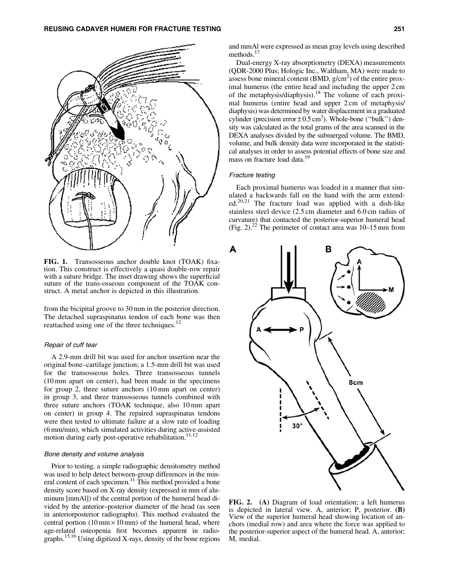

FIG. 1. Transosseous anchor double knot (TOAK) fixation. This construct is effectively a quasi double-row repair with a suture bridge. The inset drawing shows the superficial suture of the trans-osseous component of the TOAK construct. A metal anchor is depicted in this illustration.

from the bicipital groove to 30 mm in the posterior direction. The detached supraspinatus tendon of each bone was then reattached using one of the three techniques. $^{12}$ 

#### Repair of cuff tear

A 2.9-mm drill bit was used for anchor insertion near the original bone–cartilage junction; a 1.5-mm drill bit was used for the transosseous holes. Three transosseous tunnels (10 mm apart on center), had been made in the specimens for group 2, three suture anchors (10 mm apart on center) in group 3, and three transosseous tunnels combined with three suture anchors (TOAK technique, also 10 mm apart on center) in group 4. The repaired supraspinatus tendons were then tested to ultimate failure at a slow rate of loading (6 mm/min), which simulated activities during active-assisted motion during early post-operative rehabilitation.<sup>11,12</sup>

#### Bone density and volume analysis

Prior to testing, a simple radiographic densitometry method was used to help detect between-group differences in the mineral content of each specimen.<sup>11</sup> This method provided a bone density score based on X-ray density (expressed in mm of aluminum [mmAl]) of the central portion of the humeral head divided by the anterior–posterior diameter of the head (as seen in anteriorposterior radiographs). This method evaluated the central portion  $(10 \text{ mm} \times 10 \text{ mm})$  of the humeral head, where age-related osteopenia first becomes apparent in radiographs.15,16 Using digitized X-rays, density of the bone regions and mmAl were expressed as mean gray levels using described methods.<sup>17</sup>

Dual-energy X-ray absorptiometry (DEXA) measurements (QDR-2000 Plus; Hologic Inc., Waltham, MA) were made to assess bone mineral content  $(BMD, g/cm<sup>2</sup>)$  of the entire proximal humerus (the entire head and including the upper 2 cm of the metaphysis/diaphysis).<sup>18</sup> The volume of each proximal humerus (entire head and upper 2 cm of metaphysis/ diaphysis) was determined by water displacement in a graduated cylinder (precision error  $\pm 0.5$  cm<sup>3</sup>). Whole-bone ("bulk") density was calculated as the total grams of the area scanned in the DEXA analyses divided by the submerged volume. The BMD, volume, and bulk density data were incorporated in the statistical analyses in order to assess potential effects of bone size and mass on fracture load data.<sup>19</sup>

#### Fracture testing

А

Each proximal humerus was loaded in a manner that simulated a backwards fall on the hand with the arm extended.<sup>20,21</sup> The fracture load was applied with a dish-like stainless steel device (2.5 cm diameter and 6.0 cm radius of curvature) that contacted the posterior-superior humeral head (Fig. 2).<sup>22</sup> The perimeter of contact area was  $10-15$  mm from



FIG. 2. (A) Diagram of load orientation; a left humerus is depicted in lateral view. A, anterior; P, posterior. (B) View of the superior humeral head showing location of anchors (medial row) and area where the force was applied to the posterior-superior aspect of the humeral head. A, anterior; M, medial.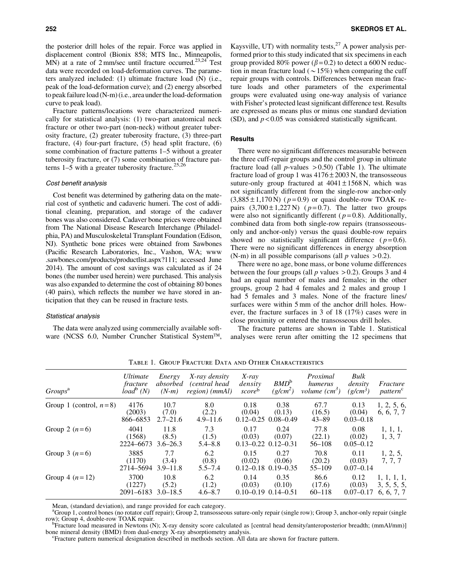the posterior drill holes of the repair. Force was applied in displacement control (Bionix 858; MTS Inc., Minneapolis, MN) at a rate of  $2 \text{ mm/sec}$  until fracture occurred.<sup>23,24</sup> Test data were recorded on load-deformation curves. The parameters analyzed included: (1) ultimate fracture load (N) (i.e., peak of the load-deformation curve); and (2) energy absorbed to peak failure load (N-m) (i.e., area underthe load-deformation curve to peak load).

Fracture patterns/locations were characterized numerically for statistical analysis: (1) two-part anatomical neck fracture or other two-part (non-neck) without greater tuberosity fracture, (2) greater tuberosity fracture, (3) three-part fracture, (4) four-part fracture, (5) head split fracture, (6) some combination of fracture patterns 1–5 without a greater tuberosity fracture, or (7) some combination of fracture patterns  $1-5$  with a greater tuberosity fracture.<sup>25,26</sup>

## Cost benefit analysis

Cost benefit was determined by gathering data on the material cost of synthetic and cadaveric humeri. The cost of additional cleaning, preparation, and storage of the cadaver bones was also considered. Cadaver bone prices were obtained from The National Disease Research Interchange (Philadelphia, PA) and Musculoskeletal Transplant Foundation (Edison, NJ). Synthetic bone prices were obtained from Sawbones (Pacific Research Laboratories, Inc., Vashon, WA; www .sawbones.com/products/productlist.aspx?111; accessed June 2014). The amount of cost savings was calculated as if 24 bones (the number used herein) were purchased. This analysis was also expanded to determine the cost of obtaining 80 bones (40 pairs), which reflects the number we have stored in anticipation that they can be reused in fracture tests.

#### Statistical analysis

The data were analyzed using commercially available software (NCSS 6.0, Number Cruncher Statistical System™, Kaysville, UT) with normality tests,  $27$  A power analysis performed prior to this study indicated that six specimens in each group provided 80% power ( $\beta$  = 0.2) to detect a 600 N reduction in mean fracture load ( $\sim$  15%) when comparing the cuff repair groups with controls. Differences between mean fracture loads and other parameters of the experimental groups were evaluated using one-way analysis of variance with Fisher's protected least significant difference test. Results are expressed as means plus or minus one standard deviation (SD), and *p* < 0.05 was considered statistically significant.

## **Results**

There were no significant differences measurable between the three cuff-repair groups and the control group in ultimate fracture load (all  $p$ -values  $> 0.50$ ) (Table 1). The ultimate fracture load of group 1 was  $4176 \pm 2003$  N, the transosseous suture-only group fractured at  $4041 \pm 1568$  N, which was not significantly different from the single-row anchor-only  $(3,885 \pm 1,170 \,\mathrm{N})$  ( $p=0.9$ ) or quasi double-row TOAK repairs  $(3,700 \pm 1,227 \text{ N})$  ( $p=0.7$ ). The latter two groups were also not significantly different ( $p=0.8$ ). Additionally, combined data from both single-row repairs (transosseousonly and anchor-only) versus the quasi double-row repairs showed no statistically significant difference  $(p=0.6)$ . There were no significant differences in energy absorption (N-m) in all possible comparisons (all  $p$  values  $> 0.2$ ).

There were no age, bone mass, or bone volume differences between the four groups (all  $p$  values  $> 0.2$ ). Groups 3 and 4 had an equal number of males and females; in the other groups, group 2 had 4 females and 2 males and group 1 had 5 females and 3 males. None of the fracture lines surfaces were within 5 mm of the anchor drill holes. However, the fracture surfaces in 3 of 18 (17%) cases were in close proximity or entered the transosseous drill holes.

The fracture patterns are shown in Table 1. Statistical analyses were rerun after omitting the 12 specimens that

| Groups <sup>a</sup>       | <i>Ultimate</i><br>fracture<br>$load^b(N)$ | Energy<br>absorbed<br>$(N-m)$ | X-ray density<br>(central head)<br>region) (mmAl) | $X$ -ray<br>density<br>score <sup>b</sup> | $BMD^b$<br>(g/cm <sup>2</sup> )               | Proximal<br>humerus<br>volume $(cm^3)$ | Bulk<br>density<br>$(g/cm^3)$   | Fracture<br>pattern <sup>c</sup>         |  |
|---------------------------|--------------------------------------------|-------------------------------|---------------------------------------------------|-------------------------------------------|-----------------------------------------------|----------------------------------------|---------------------------------|------------------------------------------|--|
| Group 1 (control, $n=8$ ) | 4176<br>(2003)<br>866-6853                 | 10.7<br>(7.0)<br>$2.7 - 21.6$ | 8.0<br>(2.2)<br>$4.9 - 11.6$                      | 0.18<br>(0.04)<br>$0.12 - 0.25$           | 0.38<br>(0.13)<br>$0.08 - 0.49$               | 67.7<br>(16.5)<br>$43 - 89$            | 0.13<br>(0.04)<br>$0.03 - 0.18$ | 1, 2, 5, 6,<br>6, 6, 7, 7                |  |
| Group 2 $(n=6)$           | 4041<br>(1568)<br>2224-6673                | 11.8<br>(8.5)<br>$3.6 - 26.3$ | 7.3<br>(1.5)<br>$5.4 - 8.8$                       | 0.17<br>(0.03)                            | 0.24<br>(0.07)<br>$0.13 - 0.22$ $0.12 - 0.31$ | 77.8<br>(22.1)<br>$56 - 108$           | 0.08<br>(0.02)<br>$0.05 - 0.12$ | 1, 1, 1,<br>1, 3, 7                      |  |
| Group 3 $(n=6)$           | 3885<br>(1170)<br>2714-5694                | 7.7<br>(3.4)<br>$3.9 - 11.8$  | 6.2<br>(0.8)<br>$5.5 - 7.4$                       | 0.15<br>(0.02)                            | 0.27<br>(0.06)<br>$0.12 - 0.18$ $0.19 - 0.35$ | 70.8<br>(20.2)<br>$55 - 109$           | 0.11<br>(0.03)<br>$0.07 - 0.14$ | 1, 2, 5,<br>7, 7, 7                      |  |
| Group 4 $(n = 12)$        | 3700<br>(1227)<br>2091-6183                | 10.8<br>(5.2)<br>$3.0 - 18.5$ | 6.2<br>(1.2)<br>$4.6 - 8.7$                       | 0.14<br>(0.03)<br>$0.10 - 0.19$           | 0.35<br>(0.10)<br>$0.14 - 0.51$               | 86.6<br>(17.6)<br>$60 - 118$           | 0.12<br>(0.03)<br>$0.07 - 0.17$ | 1, 1, 1, 1,<br>3, 5, 5, 5,<br>6, 6, 7, 7 |  |

Table 1. Group Fracture Data and Other Characteristics

Mean, (standard deviation), and range provided for each category.

<sup>a</sup>Group 1, control bones (no rotator cuff repair); Group 2, transosseous suture-only repair (single row); Group 3, anchor-only repair (single row); Group 4, double-row TOAK repair.

Fracture load measured in Newtons (N); X-ray density score calculated as [central head density/anteroposterior breadth; (mmAl/mm)] bone mineral density (BMD) from dual-energy X-ray absorptiometry analysis.

Fracture pattern numerical designation described in methods section. All data are shown for fracture pattern.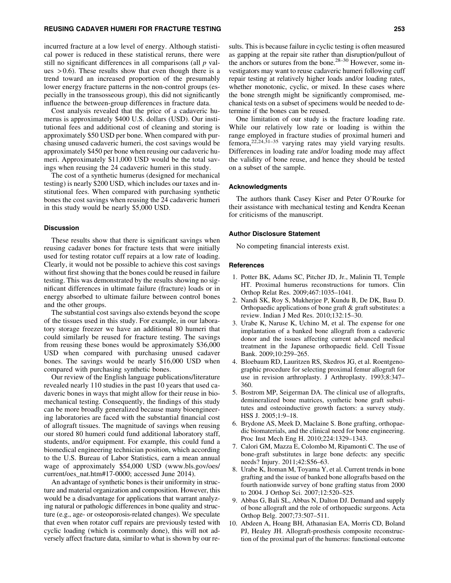## REUSING CADAVER HUMERI FOR FRACTURE TESTING 253

incurred fracture at a low level of energy. Although statistical power is reduced in these statistical reruns, there were still no significant differences in all comparisons (all *p* values  $> 0.6$ ). These results show that even though there is a trend toward an increased proportion of the presumably lower energy fracture patterns in the non-control groups (especially in the transosseous group), this did not significantly influence the between-group differences in fracture data.

Cost analysis revealed that the price of a cadaveric humerus is approximately \$400 U.S. dollars (USD). Our institutional fees and additional cost of cleaning and storing is approximately \$50 USD per bone. When compared with purchasing unused cadaveric humeri, the cost savings would be approximately \$450 per bone when reusing our cadaveric humeri. Approximately \$11,000 USD would be the total savings when reusing the 24 cadaveric humeri in this study.

The cost of a synthetic humerus (designed for mechanical testing) is nearly \$200 USD, which includes our taxes and institutional fees. When compared with purchasing synthetic bones the cost savings when reusing the 24 cadaveric humeri in this study would be nearly \$5,000 USD.

#### Discussion

These results show that there is significant savings when reusing cadaver bones for fracture tests that were initially used for testing rotator cuff repairs at a low rate of loading. Clearly, it would not be possible to achieve this cost savings without first showing that the bones could be reused in failure testing. This was demonstrated by the results showing no significant differences in ultimate failure (fracture) loads or in energy absorbed to ultimate failure between control bones and the other groups.

The substantial cost savings also extends beyond the scope of the tissues used in this study. For example, in our laboratory storage freezer we have an additional 80 humeri that could similarly be reused for fracture testing. The savings from reusing these bones would be approximately \$36,000 USD when compared with purchasing unused cadaver bones. The savings would be nearly \$16,000 USD when compared with purchasing synthetic bones.

Our review of the English language publications/literature revealed nearly 110 studies in the past 10 years that used cadaveric bones in ways that might allow for their reuse in biomechanical testing. Consequently, the findings of this study can be more broadly generalized because many bioengineering laboratories are faced with the substantial financial cost of allograft tissues. The magnitude of savings when reusing our stored 80 humeri could fund additional laboratory staff, students, and/or equipment. For example, this could fund a biomedical engineering technician position, which according to the U.S. Bureau of Labor Statistics, earn a mean annual wage of approximately \$54,000 USD (www.bls.gov/oes/ current/oes\_nat.htm#17-0000; accessed June 2014).

An advantage of synthetic bones is their uniformity in structure and material organization and composition. However, this would be a disadvantage for applications that warrant analyzing natural or pathologic differences in bone quality and structure (e.g., age- or osteoporosis-related changes). We speculate that even when rotator cuff repairs are previously tested with cyclic loading (which is commonly done), this will not adversely affect fracture data, similar to what is shown by our results. This is because failure in cyclic testing is often measured as gapping at the repair site rather than disruption/pullout of the anchors or sutures from the bone.<sup>28–30</sup> However, some investigators may want to reuse cadaveric humeri following cuff repair testing at relatively higher loads and/or loading rates, whether monotonic, cyclic, or mixed. In these cases where the bone strength might be significantly compromised, mechanical tests on a subset of specimens would be needed to determine if the bones can be reused.

One limitation of our study is the fracture loading rate. While our relatively low rate or loading is within the range employed in fracture studies of proximal humeri and femora,  $22,24,31-35$  varying rates may yield varying results. Differences in loading rate and/or loading mode may affect the validity of bone reuse, and hence they should be tested on a subset of the sample.

## Acknowledgments

The authors thank Casey Kiser and Peter O'Rourke for their assistance with mechanical testing and Kendra Keenan for criticisms of the manuscript.

## Author Disclosure Statement

No competing financial interests exist.

#### References

- 1. Potter BK, Adams SC, Pitcher JD, Jr., Malinin TI, Temple HT. Proximal humerus reconstructions for tumors. Clin Orthop Relat Res. 2009;467:1035–1041.
- 2. Nandi SK, Roy S, Mukherjee P, Kundu B, De DK, Basu D. Orthopaedic applications of bone graft & graft substitutes: a review. Indian J Med Res. 2010;132:15–30.
- 3. Urabe K, Naruse K, Uchino M, et al. The expense for one implantation of a banked bone allograft from a cadaveric donor and the issues affecting current advanced medical treatment in the Japanese orthopaedic field. Cell Tissue Bank. 2009;10:259–265.
- 4. Bloebaum RD, Lauritzen RS, Skedros JG, et al. Roentgenographic procedure for selecting proximal femur allograft for use in revision arthroplasty. J Arthroplasty. 1993;8:347– 360.
- 5. Bostrom MP, Seigerman DA. The clinical use of allografts, demineralized bone matrices, synthetic bone graft substitutes and osteoinductive growth factors: a survey study. HSS J. 2005;1:9–18.
- 6. Brydone AS, Meek D, Maclaine S. Bone grafting, orthopaedic biomaterials, and the clinical need for bone engineering. Proc Inst Mech Eng H. 2010;224:1329–1343.
- 7. Calori GM, Mazza E, Colombo M, Ripamonti C. The use of bone-graft substitutes in large bone defects: any specific needs? Injury. 2011;42:S56–63.
- 8. Urabe K, Itoman M, Toyama Y, et al. Current trends in bone grafting and the issue of banked bone allografts based on the fourth nationwide survey of bone grafting status from 2000 to 2004. J Orthop Sci. 2007;12:520–525.
- 9. Abbas G, Bali SL, Abbas N, Dalton DJ. Demand and supply of bone allograft and the role of orthopaedic surgeons. Acta Orthop Belg. 2007;73:507–511.
- 10. Abdeen A, Hoang BH, Athanasian EA, Morris CD, Boland PJ, Healey JH. Allograft-prosthesis composite reconstruction of the proximal part of the humerus: functional outcome